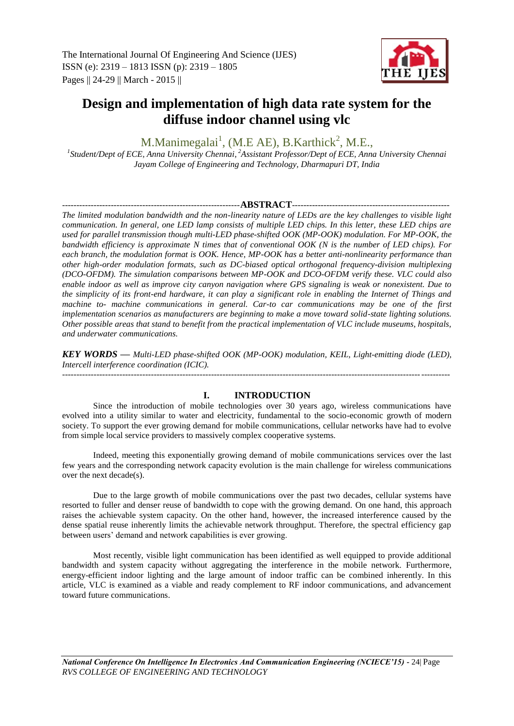

# **Design and implementation of high data rate system for the diffuse indoor channel using vlc**

M.Manimegalai<sup>1</sup>, (M.E AE), B.Karthick<sup>2</sup>, M.E.,

*1 Student/Dept of ECE, Anna University Chennai*, *<sup>2</sup>Assistant Professor/Dept of ECE, Anna University Chennai Jayam College of Engineering and Technology, Dharmapuri DT, India*

## --------------------------------------------------------------**ABSTRACT**-------------------------------------------------------

*The limited modulation bandwidth and the non-linearity nature of LEDs are the key challenges to visible light communication. In general, one LED lamp consists of multiple LED chips. In this letter, these LED chips are used for parallel transmission though multi-LED phase-shifted OOK (MP-OOK) modulation. For MP-OOK, the bandwidth efficiency is approximate N times that of conventional OOK (N is the number of LED chips). For each branch, the modulation format is OOK. Hence, MP-OOK has a better anti-nonlinearity performance than other high-order modulation formats, such as DC-biased optical orthogonal frequency-division multiplexing (DCO-OFDM). The simulation comparisons between MP-OOK and DCO-OFDM verify these. VLC could also enable indoor as well as improve city canyon navigation where GPS signaling is weak or nonexistent. Due to the simplicity of its front-end hardware, it can play a significant role in enabling the Internet of Things and machine to- machine communications in general. Car-to car communications may be one of the first implementation scenarios as manufacturers are beginning to make a move toward solid-state lighting solutions. Other possible areas that stand to benefit from the practical implementation of VLC include museums, hospitals, and underwater communications.*

*KEY WORDS — Multi-LED phase-shifted OOK (MP-OOK) modulation, KEIL, Light-emitting diode (LED), Intercell interference coordination (ICIC).* ---------------------------------------------------------------------------------------------------------------------------------------

# **I. INTRODUCTION**

Since the introduction of mobile technologies over 30 years ago, wireless communications have evolved into a utility similar to water and electricity, fundamental to the socio-economic growth of modern society. To support the ever growing demand for mobile communications, cellular networks have had to evolve from simple local service providers to massively complex cooperative systems.

Indeed, meeting this exponentially growing demand of mobile communications services over the last few years and the corresponding network capacity evolution is the main challenge for wireless communications over the next decade(s).

Due to the large growth of mobile communications over the past two decades, cellular systems have resorted to fuller and denser reuse of bandwidth to cope with the growing demand. On one hand, this approach raises the achievable system capacity. On the other hand, however, the increased interference caused by the dense spatial reuse inherently limits the achievable network throughput. Therefore, the spectral efficiency gap between users' demand and network capabilities is ever growing.

Most recently, visible light communication has been identified as well equipped to provide additional bandwidth and system capacity without aggregating the interference in the mobile network. Furthermore, energy-efficient indoor lighting and the large amount of indoor traffic can be combined inherently. In this article, VLC is examined as a viable and ready complement to RF indoor communications, and advancement toward future communications.

*National Conference On Intelligence In Electronics And Communication Engineering (NCIECE'15) -* 24| Page *RVS COLLEGE OF ENGINEERING AND TECHNOLOGY*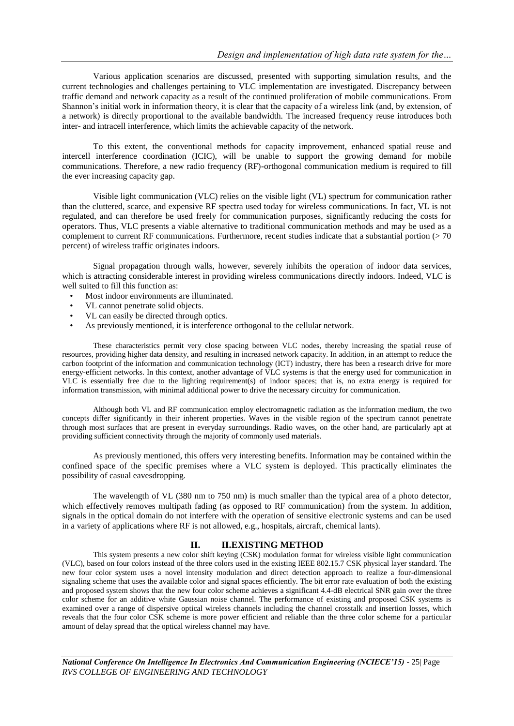Various application scenarios are discussed, presented with supporting simulation results, and the current technologies and challenges pertaining to VLC implementation are investigated. Discrepancy between traffic demand and network capacity as a result of the continued proliferation of mobile communications. From Shannon's initial work in information theory, it is clear that the capacity of a wireless link (and, by extension, of a network) is directly proportional to the available bandwidth. The increased frequency reuse introduces both inter- and intracell interference, which limits the achievable capacity of the network.

To this extent, the conventional methods for capacity improvement, enhanced spatial reuse and intercell interference coordination (ICIC), will be unable to support the growing demand for mobile communications. Therefore, a new radio frequency (RF)-orthogonal communication medium is required to fill the ever increasing capacity gap.

Visible light communication (VLC) relies on the visible light (VL) spectrum for communication rather than the cluttered, scarce, and expensive RF spectra used today for wireless communications. In fact, VL is not regulated, and can therefore be used freely for communication purposes, significantly reducing the costs for operators. Thus, VLC presents a viable alternative to traditional communication methods and may be used as a complement to current RF communications. Furthermore, recent studies indicate that a substantial portion  $(> 70$ percent) of wireless traffic originates indoors.

Signal propagation through walls, however, severely inhibits the operation of indoor data services, which is attracting considerable interest in providing wireless communications directly indoors. Indeed, VLC is well suited to fill this function as:

- Most indoor environments are illuminated.
- VL cannot penetrate solid objects.
- VL can easily be directed through optics.
- As previously mentioned, it is interference orthogonal to the cellular network.

These characteristics permit very close spacing between VLC nodes, thereby increasing the spatial reuse of resources, providing higher data density, and resulting in increased network capacity. In addition, in an attempt to reduce the carbon footprint of the information and communication technology (ICT) industry, there has been a research drive for more energy-efficient networks. In this context, another advantage of VLC systems is that the energy used for communication in VLC is essentially free due to the lighting requirement(s) of indoor spaces; that is, no extra energy is required for information transmission, with minimal additional power to drive the necessary circuitry for communication.

Although both VL and RF communication employ electromagnetic radiation as the information medium, the two concepts differ significantly in their inherent properties. Waves in the visible region of the spectrum cannot penetrate through most surfaces that are present in everyday surroundings. Radio waves, on the other hand, are particularly apt at providing sufficient connectivity through the majority of commonly used materials.

As previously mentioned, this offers very interesting benefits. Information may be contained within the confined space of the specific premises where a VLC system is deployed. This practically eliminates the possibility of casual eavesdropping.

The wavelength of VL (380 nm to 750 nm) is much smaller than the typical area of a photo detector, which effectively removes multipath fading (as opposed to RF communication) from the system. In addition, signals in the optical domain do not interfere with the operation of sensitive electronic systems and can be used in a variety of applications where RF is not allowed, e.g., hospitals, aircraft, chemical lants).

## **II. II.EXISTING METHOD**

This system presents a new color shift keying (CSK) modulation format for wireless visible light communication (VLC), based on four colors instead of the three colors used in the existing IEEE 802.15.7 CSK physical layer standard. The new four color system uses a novel intensity modulation and direct detection approach to realize a four-dimensional signaling scheme that uses the available color and signal spaces efficiently. The bit error rate evaluation of both the existing and proposed system shows that the new four color scheme achieves a significant 4.4-dB electrical SNR gain over the three color scheme for an additive white Gaussian noise channel. The performance of existing and proposed CSK systems is examined over a range of dispersive optical wireless channels including the channel crosstalk and insertion losses, which reveals that the four color CSK scheme is more power efficient and reliable than the three color scheme for a particular amount of delay spread that the optical wireless channel may have.

*National Conference On Intelligence In Electronics And Communication Engineering (NCIECE'15) -* 25| Page *RVS COLLEGE OF ENGINEERING AND TECHNOLOGY*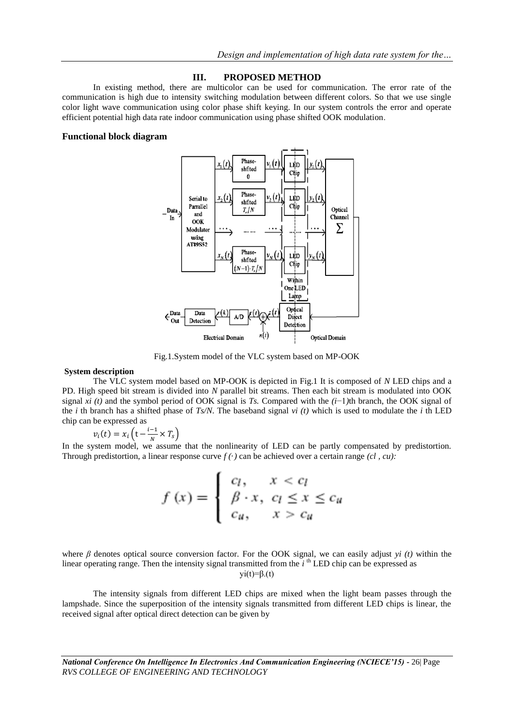## **III. PROPOSED METHOD**

In existing method, there are multicolor can be used for communication. The error rate of the communication is high due to intensity switching modulation between different colors. So that we use single color light wave communication using color phase shift keying. In our system controls the error and operate efficient potential high data rate indoor communication using phase shifted OOK modulation.

## **Functional block diagram**



Fig.1.System model of the VLC system based on MP-OOK

## **System description**

The VLC system model based on MP-OOK is depicted in Fig.1 It is composed of *N* LED chips and a PD. High speed bit stream is divided into *N* parallel bit streams. Then each bit stream is modulated into OOK signal *xi (t)* and the symbol period of OOK signal is *Ts.* Compared with the *(i*−1*)*th branch, the OOK signal of the *i* th branch has a shifted phase of *Ts/N*. The baseband signal *vi (t)* which is used to modulate the *i* th LED chip can be expressed as

$$
v_i(t) = x_i \left( t - \frac{i-1}{N} \times T_s \right)
$$

In the system model, we assume that the nonlinearity of LED can be partly compensated by predistortion. Through predistortion, a linear response curve  $f(\cdot)$  can be achieved over a certain range  $(cl, cu)$ :

$$
f(x) = \begin{cases} c_l, & x < c_l \\ \beta \cdot x, & c_l \le x \le c_u \\ c_u, & x > c_u \end{cases}
$$

where *β* denotes optical source conversion factor. For the OOK signal, we can easily adjust *yi (t)* within the linear operating range. Then the intensity signal transmitted from the *i*<sup>th</sup> LED chip can be expressed as  $yi(t)=\beta(t)$ 

The intensity signals from different LED chips are mixed when the light beam passes through the lampshade. Since the superposition of the intensity signals transmitted from different LED chips is linear, the received signal after optical direct detection can be given by

*National Conference On Intelligence In Electronics And Communication Engineering (NCIECE'15) -* 26| Page *RVS COLLEGE OF ENGINEERING AND TECHNOLOGY*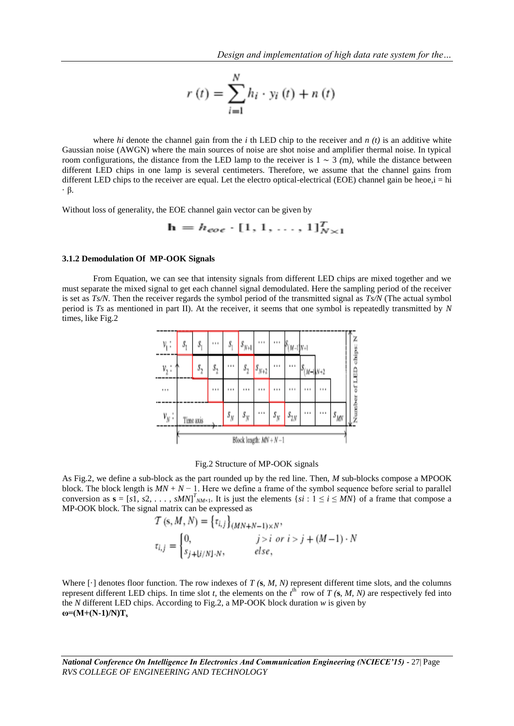$$
r\left(t\right) = \sum_{i=1}^{N} h_i \cdot y_i\left(t\right) + n\left(t\right)
$$

where *hi* denote the channel gain from the *i* th LED chip to the receiver and *n* (*t*) is an additive white Gaussian noise (AWGN) where the main sources of noise are shot noise and amplifier thermal noise. In typical room configurations, the distance from the LED lamp to the receiver is 1 ∼ 3 *(*m*)*, while the distance between different LED chips in one lamp is several centimeters. Therefore, we assume that the channel gains from different LED chips to the receiver are equal. Let the electro optical-electrical (EOE) channel gain be heoe, $i = hi$ · β.

Without loss of generality, the EOE channel gain vector can be given by

$$
\mathbf{h} = h_{eoe} \cdot [1, 1, \dots, 1]_{N \times 1}^{T}
$$

## **3.1.2 Demodulation Of MP-OOK Signals**

From Equation, we can see that intensity signals from different LED chips are mixed together and we must separate the mixed signal to get each channel signal demodulated. Here the sampling period of the receiver is set as *Ts/N*. Then the receiver regards the symbol period of the transmitted signal as *Ts/N* (The actual symbol period is *Ts* as mentioned in part II). At the receiver, it seems that one symbol is repeatedly transmitted by *N*  times, like Fig.2

| η;       | s,                         | Ŝ         | <b>111</b> | $S_1$   | $s_{N+1}$            |           |             | М-          |             |  |           |   |
|----------|----------------------------|-----------|------------|---------|----------------------|-----------|-------------|-------------|-------------|--|-----------|---|
| v.       |                            | $s_{2}$   |            |         | $\boldsymbol{s}_{2}$ | $s_{N+2}$ |             |             | ıð<br>$M-1$ |  |           | ₿ |
| $\cdots$ |                            |           |            |         |                      |           |             |             |             |  |           |   |
| $v_{N}$  |                            | Time axis |            | $s_{y}$ |                      |           | $s_{\rm N}$ | $s_{2N}^{}$ |             |  | $s_{y_0}$ |   |
|          | Block length: $MN + N - 1$ |           |            |         |                      |           |             |             |             |  |           |   |

#### Fig.2 Structure of MP-OOK signals

As Fig.2, we define a sub-block as the part rounded up by the red line. Then, *M* sub-blocks compose a MPOOK block. The block length is *MN* + *N* − 1. Here we define a frame of the symbol sequence before serial to parallel conversion as  $\mathbf{s} = [s_1, s_2, \dots, s_Mt_1^T_{N_M \times 1}]$ . It is just the elements  $\{si : 1 \le i \le MN\}$  of a frame that compose a MP-OOK block. The signal matrix can be expressed as

$$
T(s, M, N) = \{ \tau_{i,j} \}_{(MN+N-1)\times N},
$$
  
\n
$$
\tau_{i,j} = \begin{cases} 0, & j > i \text{ or } i > j + (M-1) \cdot N \\ s_{j+1,j/N}, & else, \end{cases}
$$

Where  $[\cdot]$  denotes floor function. The row indexes of  $T$  ( $\bf{s}$ ,  $M$ ,  $N$ ) represent different time slots, and the columns represent different LED chips. In time slot *t*, the elements on the  $t^{\text{th}}$  row of *T* (s, *M*, *N*) are respectively fed into the *N* different LED chips. According to Fig.2, a MP-OOK block duration *w* is given by **ω=(M+(N-1)/N)Ts**

*National Conference On Intelligence In Electronics And Communication Engineering (NCIECE'15) -* 27| Page *RVS COLLEGE OF ENGINEERING AND TECHNOLOGY*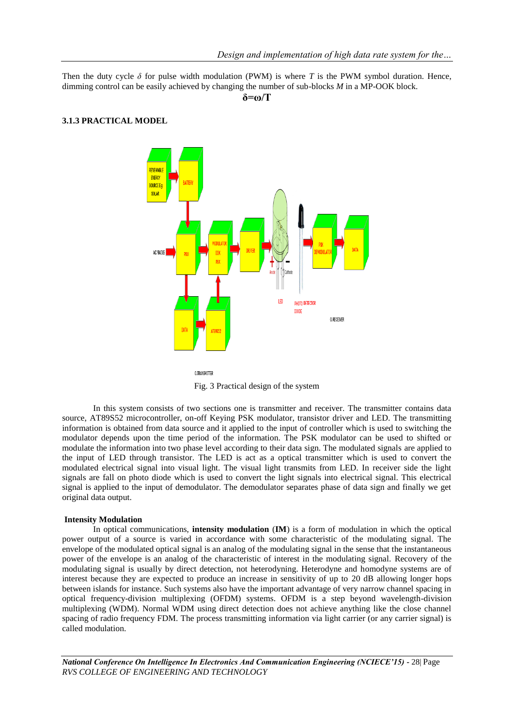Then the duty cycle  $\delta$  for pulse width modulation (PWM) is where *T* is the PWM symbol duration. Hence, dimming control can be easily achieved by changing the number of sub-blocks *M* in a MP-OOK block.

**δ=ω/T**

### **3.1.3 PRACTICAL MODEL**



O.TRANSMITTE

Fig. 3 Practical design of the system

In this system consists of two sections one is transmitter and receiver. The transmitter contains data source, AT89S52 microcontroller, on-off Keying PSK modulator, transistor driver and LED. The transmitting information is obtained from data source and it applied to the input of controller which is used to switching the modulator depends upon the time period of the information. The PSK modulator can be used to shifted or modulate the information into two phase level according to their data sign. The modulated signals are applied to the input of LED through transistor. The LED is act as a optical transmitter which is used to convert the modulated electrical signal into visual light. The visual light transmits from LED. In receiver side the light signals are fall on photo diode which is used to convert the light signals into electrical signal. This electrical signal is applied to the input of demodulator. The demodulator separates phase of data sign and finally we get original data output.

### **Intensity Modulation**

In optical communications, **intensity modulation** (**IM**) is a form of modulation in which the optical power output of a source is varied in accordance with some characteristic of the modulating signal. The envelope of the modulated optical signal is an analog of the modulating signal in the sense that the instantaneous power of the envelope is an analog of the characteristic of interest in the modulating signal. Recovery of the modulating signal is usually by direct detection, not heterodyning. Heterodyne and homodyne systems are of interest because they are expected to produce an increase in sensitivity of up to 20 dB allowing longer hops between islands for instance. Such systems also have the important advantage of very narrow channel spacing in optical frequency-division multiplexing (OFDM) systems. OFDM is a step beyond wavelength-division multiplexing (WDM). Normal WDM using direct detection does not achieve anything like the close channel spacing of radio frequency FDM. The process transmitting information via light carrier (or any carrier signal) is called modulation.

*National Conference On Intelligence In Electronics And Communication Engineering (NCIECE'15) -* 28| Page *RVS COLLEGE OF ENGINEERING AND TECHNOLOGY*